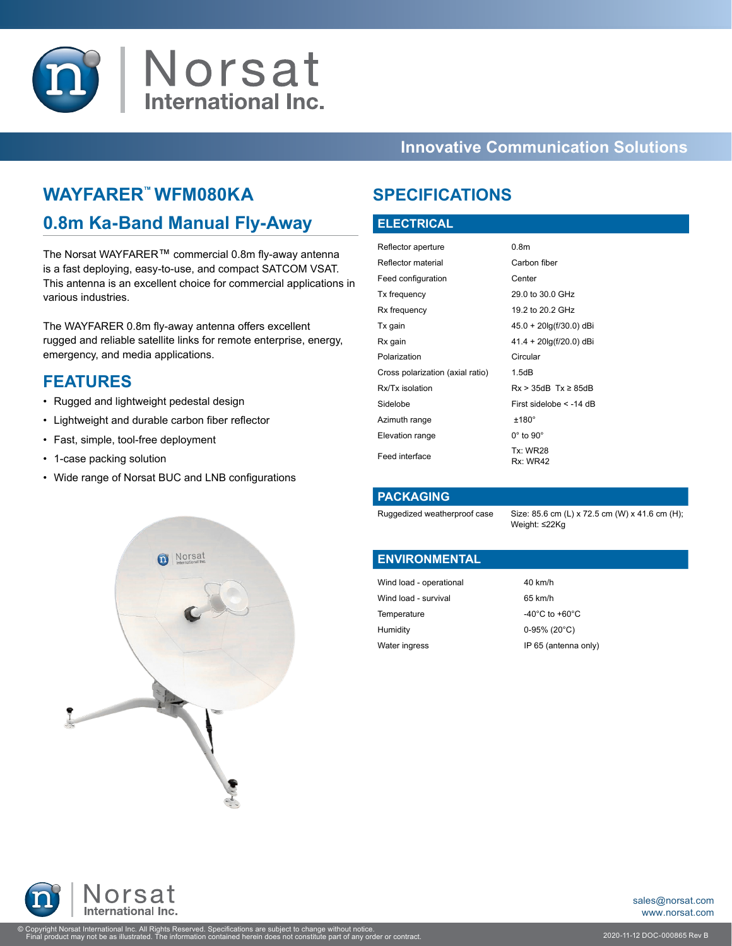

## **Innovative Communication Solutions**

## **WAYFARER™ WFM080KA**

## **0.8m Ka-Band Manual Fly-Away**

The Norsat WAYFARER™ commercial 0.8m fly-away antenna is a fast deploying, easy-to-use, and compact SATCOM VSAT. This antenna is an excellent choice for commercial applications in various industries.

The WAYFARER 0.8m fly-away antenna offers excellent rugged and reliable satellite links for remote enterprise, energy, emergency, and media applications.

### **FEATURES**

- Rugged and lightweight pedestal design
- Lightweight and durable carbon fiber reflector
- Fast, simple, tool-free deployment
- 1-case packing solution
- Wide range of Norsat BUC and LNB configurations



#### **ELECTRICAL**

| Reflector aperture               | 0.8 <sub>m</sub>                   |
|----------------------------------|------------------------------------|
| Reflector material               | Carbon fiber                       |
| Feed configuration               | Center                             |
| Tx frequency                     | 29.0 to 30.0 GHz                   |
| Rx frequency                     | 19.2 to 20.2 GHz                   |
| Tx gain                          | 45.0 + 20lg(f/30.0) dBi            |
| Rx gain                          | $41.4 + 20 \lg(f/20.0)$ dBi        |
| Polarization                     | Circular                           |
| Cross polarization (axial ratio) | 1.5dB                              |
| Rx/Tx isolation                  | $Rx > 35dB$ Tx $\geq 85dB$         |
| Sidelobe                         | First sidelobe < -14 dB            |
| Azimuth range                    | $±180^\circ$                       |
| Elevation range                  | $0^\circ$ to $90^\circ$            |
| Feed interface                   | <b>Tx: WR28</b><br><b>Rx: WR42</b> |

#### **PACKAGING**

Ruggedized weatherproof case Size: 85.6 cm (L) x 72.5 cm (W) x 41.6 cm (H); Weight: ≤22Kg

#### **ENVIRONMENTAL**

Wind load - operational 40 km/h Wind load - survival 65 km/h Temperature -40°C to +60°C Humidity 0-95% (20°C) Water ingress **IP 65** (antenna only)